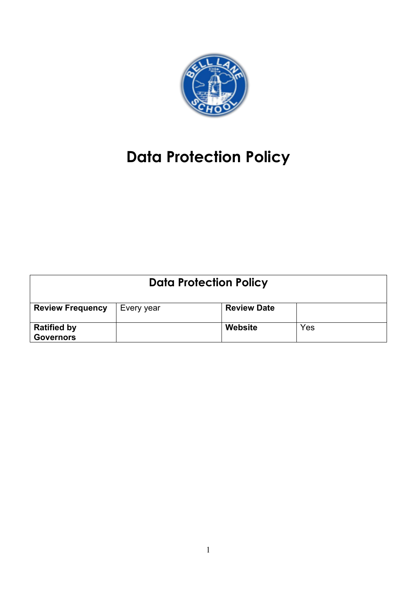

# **Data Protection Policy**

| <b>Data Protection Policy</b>          |            |                    |     |  |
|----------------------------------------|------------|--------------------|-----|--|
| <b>Review Frequency</b>                | Every year | <b>Review Date</b> |     |  |
| <b>Ratified by</b><br><b>Governors</b> |            | Website            | Yes |  |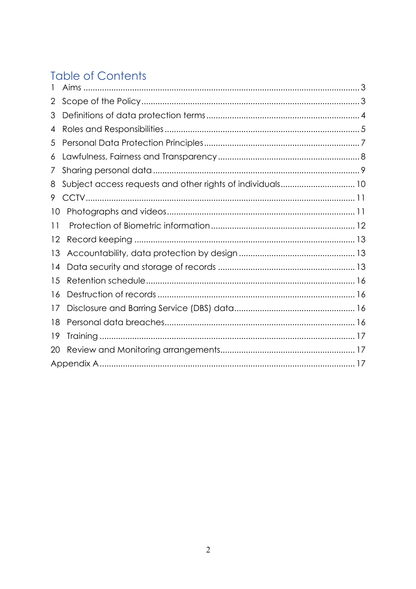# **Table of Contents**

| 2  |                                                            |  |
|----|------------------------------------------------------------|--|
| 3  |                                                            |  |
| 4  |                                                            |  |
| 5  |                                                            |  |
| 6  |                                                            |  |
| 7  |                                                            |  |
| 8  | Subject access requests and other rights of individuals 10 |  |
| 9  |                                                            |  |
| 10 |                                                            |  |
| 11 |                                                            |  |
| 12 |                                                            |  |
| 13 |                                                            |  |
| 14 |                                                            |  |
| 15 |                                                            |  |
| 16 |                                                            |  |
| 17 |                                                            |  |
| 18 |                                                            |  |
| 19 |                                                            |  |
| 20 |                                                            |  |
|    |                                                            |  |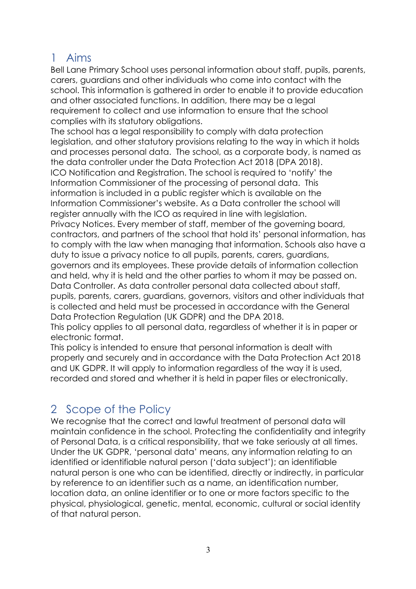### 1 Aims

Bell Lane Primary School uses personal information about staff, pupils, parents, carers, guardians and other individuals who come into contact with the school. This information is gathered in order to enable it to provide education and other associated functions. In addition, there may be a legal requirement to collect and use information to ensure that the school complies with its statutory obligations.

The school has a legal responsibility to comply with data protection legislation, and other statutory provisions relating to the way in which it holds and processes personal data. The school, as a corporate body, is named as the data controller under the Data Protection Act 2018 (DPA 2018). ICO Notification and Registration. The school is required to 'notify' the Information Commissioner of the processing of personal data. This information is included in a public register which is available on the Information Commissioner's website. As a Data controller the school will register annually with the ICO as required in line with legislation. Privacy Notices. Every member of staff, member of the governing board, contractors, and partners of the school that hold its' personal information, has to comply with the law when managing that information. Schools also have a duty to issue a privacy notice to all pupils, parents, carers, guardians, governors and its employees. These provide details of information collection and held, why it is held and the other parties to whom it may be passed on. Data Controller. As data controller personal data collected about staff, pupils, parents, carers, guardians, governors, visitors and other individuals that is collected and held must be processed in accordance with the General Data Protection Regulation (UK GDPR) and the DPA 2018.

This policy applies to all personal data, regardless of whether it is in paper or electronic format.

This policy is intended to ensure that personal information is dealt with properly and securely and in accordance with the Data Protection Act 2018 and UK GDPR. It will apply to information regardless of the way it is used, recorded and stored and whether it is held in paper files or electronically.

# 2 Scope of the Policy

We recognise that the correct and lawful treatment of personal data will maintain confidence in the school. Protecting the confidentiality and integrity of Personal Data, is a critical responsibility, that we take seriously at all times. Under the UK GDPR, 'personal data' means, any information relating to an identified or identifiable natural person ('data subject'); an identifiable natural person is one who can be identified, directly or indirectly, in particular by reference to an identifier such as a name, an identification number, location data, an online identifier or to one or more factors specific to the physical, physiological, genetic, mental, economic, cultural or social identity of that natural person.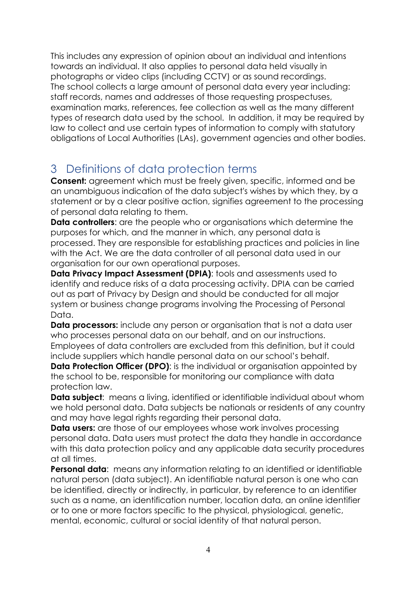This includes any expression of opinion about an individual and intentions towards an individual. It also applies to personal data held visually in photographs or video clips (including CCTV) or as sound recordings. The school collects a large amount of personal data every year including: staff records, names and addresses of those requesting prospectuses, examination marks, references, fee collection as well as the many different types of research data used by the school. In addition, it may be required by law to collect and use certain types of information to comply with statutory obligations of Local Authorities (LAs), government agencies and other bodies.

# 3 Definitions of data protection terms

**Consent:** agreement which must be freely given, specific, informed and be an unambiguous indication of the data subject's wishes by which they, by a statement or by a clear positive action, signifies agreement to the processing of personal data relating to them.

**Data controllers**: are the people who or organisations which determine the purposes for which, and the manner in which, any personal data is processed. They are responsible for establishing practices and policies in line with the Act. We are the data controller of all personal data used in our organisation for our own operational purposes.

**Data Privacy Impact Assessment (DPIA):** tools and assessments used to identify and reduce risks of a data processing activity. DPIA can be carried out as part of Privacy by Design and should be conducted for all major system or business change programs involving the Processing of Personal Data.

**Data processors:** include any person or organisation that is not a data user who processes personal data on our behalf, and on our instructions. Employees of data controllers are excluded from this definition, but it could include suppliers which handle personal data on our school's behalf.

**Data Protection Officer (DPO):** is the individual or organisation appointed by the school to be, responsible for monitoring our compliance with data protection law.

**Data subject:** means a living, identified or identifiable individual about whom we hold personal data. Data subjects be nationals or residents of any country and may have legal rights regarding their personal data.

**Data users:** are those of our employees whose work involves processing personal data. Data users must protect the data they handle in accordance with this data protection policy and any applicable data security procedures at all times.

**Personal data:** means any information relating to an identified or identifiable natural person (data subject). An identifiable natural person is one who can be identified, directly or indirectly, in particular, by reference to an identifier such as a name, an identification number, location data, an online identifier or to one or more factors specific to the physical, physiological, genetic, mental, economic, cultural or social identity of that natural person.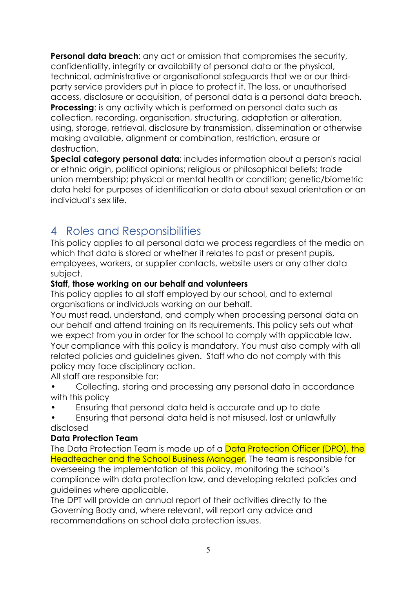**Personal data breach:** any act or omission that compromises the security, confidentiality, integrity or availability of personal data or the physical, technical, administrative or organisational safeguards that we or our thirdparty service providers put in place to protect it. The loss, or unauthorised access, disclosure or acquisition, of personal data is a personal data breach. **Processing:** is any activity which is performed on personal data such as collection, recording, organisation, structuring, adaptation or alteration, using, storage, retrieval, disclosure by transmission, dissemination or otherwise making available, alignment or combination, restriction, erasure or destruction.

**Special category personal data**: includes information about a person's racial or ethnic origin, political opinions; religious or philosophical beliefs; trade union membership; physical or mental health or condition; genetic/biometric data held for purposes of identification or data about sexual orientation or an individual's sex life.

# 4 Roles and Responsibilities

This policy applies to all personal data we process regardless of the media on which that data is stored or whether it relates to past or present pupils, employees, workers, or supplier contacts, website users or any other data subject.

### **Staff, those working on our behalf and volunteers**

This policy applies to all staff employed by our school, and to external organisations or individuals working on our behalf.

You must read, understand, and comply when processing personal data on our behalf and attend training on its requirements. This policy sets out what we expect from you in order for the school to comply with applicable law. Your compliance with this policy is mandatory. You must also comply with all related policies and guidelines given. Staff who do not comply with this policy may face disciplinary action.

All staff are responsible for:

- Collecting, storing and processing any personal data in accordance with this policy
- Ensuring that personal data held is accurate and up to date
- Ensuring that personal data held is not misused, lost or unlawfully disclosed

### **Data Protection Team**

The Data Protection Team is made up of a Data Protection Officer (DPO), the Headteacher and the School Business Manager. The team is responsible for overseeing the implementation of this policy, monitoring the school's compliance with data protection law, and developing related policies and guidelines where applicable.

The DPT will provide an annual report of their activities directly to the Governing Body and, where relevant, will report any advice and recommendations on school data protection issues.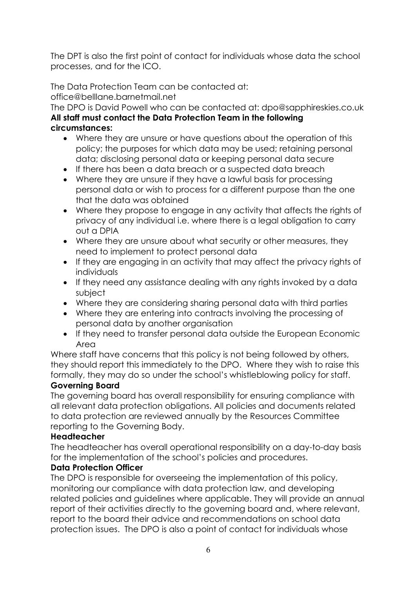The DPT is also the first point of contact for individuals whose data the school processes, and for the ICO.

The Data Protection Team can be contacted at:

office@belllane.barnetmail.net

The DPO is David Powell who can be contacted at: dpo@sapphireskies.co.uk **All staff must contact the Data Protection Team in the following circumstances:**

- Where they are unsure or have questions about the operation of this policy; the purposes for which data may be used; retaining personal data; disclosing personal data or keeping personal data secure
- If there has been a data breach or a suspected data breach
- Where they are unsure if they have a lawful basis for processing personal data or wish to process for a different purpose than the one that the data was obtained
- Where they propose to engage in any activity that affects the rights of privacy of any individual i.e. where there is a legal obligation to carry out a DPIA
- Where they are unsure about what security or other measures, they need to implement to protect personal data
- If they are engaging in an activity that may affect the privacy rights of individuals
- If they need any assistance dealing with any rights invoked by a data subject
- Where they are considering sharing personal data with third parties
- Where they are entering into contracts involving the processing of personal data by another organisation
- If they need to transfer personal data outside the European Economic Area

Where staff have concerns that this policy is not being followed by others, they should report this immediately to the DPO. Where they wish to raise this formally, they may do so under the school's whistleblowing policy for staff.

### **Governing Board**

The governing board has overall responsibility for ensuring compliance with all relevant data protection obligations. All policies and documents related to data protection are reviewed annually by the Resources Committee reporting to the Governing Body.

### **Headteacher**

The headteacher has overall operational responsibility on a day-to-day basis for the implementation of the school's policies and procedures.

### **Data Protection Officer**

The DPO is responsible for overseeing the implementation of this policy, monitoring our compliance with data protection law, and developing related policies and guidelines where applicable. They will provide an annual report of their activities directly to the governing board and, where relevant, report to the board their advice and recommendations on school data protection issues. The DPO is also a point of contact for individuals whose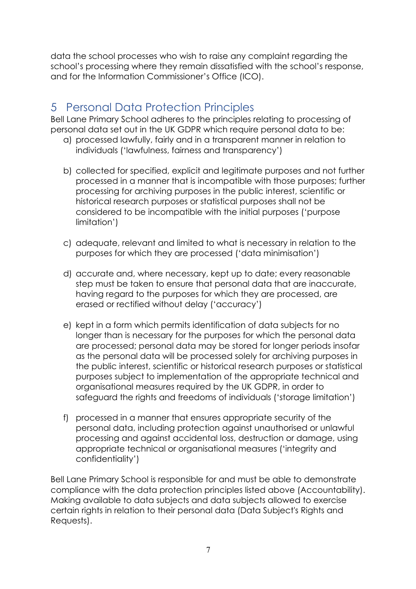data the school processes who wish to raise any complaint regarding the school's processing where they remain dissatisfied with the school's response, and for the Information Commissioner's Office (ICO).

# 5 Personal Data Protection Principles

Bell Lane Primary School adheres to the principles relating to processing of personal data set out in the UK GDPR which require personal data to be:

- a) processed lawfully, fairly and in a transparent manner in relation to individuals ('lawfulness, fairness and transparency')
- b) collected for specified, explicit and legitimate purposes and not further processed in a manner that is incompatible with those purposes; further processing for archiving purposes in the public interest, scientific or historical research purposes or statistical purposes shall not be considered to be incompatible with the initial purposes ('purpose limitation')
- c) adequate, relevant and limited to what is necessary in relation to the purposes for which they are processed ('data minimisation')
- d) accurate and, where necessary, kept up to date; every reasonable step must be taken to ensure that personal data that are inaccurate, having regard to the purposes for which they are processed, are erased or rectified without delay ('accuracy')
- e) kept in a form which permits identification of data subjects for no longer than is necessary for the purposes for which the personal data are processed; personal data may be stored for longer periods insofar as the personal data will be processed solely for archiving purposes in the public interest, scientific or historical research purposes or statistical purposes subject to implementation of the appropriate technical and organisational measures required by the UK GDPR, in order to safeguard the rights and freedoms of individuals ('storage limitation')
- f) processed in a manner that ensures appropriate security of the personal data, including protection against unauthorised or unlawful processing and against accidental loss, destruction or damage, using appropriate technical or organisational measures ('integrity and confidentiality')

Bell Lane Primary School is responsible for and must be able to demonstrate compliance with the data protection principles listed above (Accountability). Making available to data subjects and data subjects allowed to exercise certain rights in relation to their personal data (Data Subject's Rights and Requests).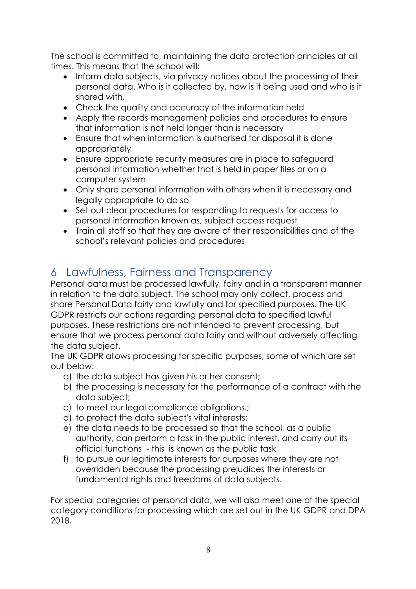The school is committed to, maintaining the data protection principles at all times. This means that the school will:

- Inform data subjects, via privacy notices about the processing of their personal data. Who is it collected by, how is it being used and who is it shared with.
- Check the quality and accuracy of the information held
- Apply the records management policies and procedures to ensure that information is not held longer than is necessary
- Ensure that when information is authorised for disposal it is done appropriately
- Ensure appropriate security measures are in place to safeguard personal information whether that is held in paper files or on a computer system
- Only share personal information with others when it is necessary and legally appropriate to do so
- Set out clear procedures for responding to requests for access to personal information known as, subject access request
- Train all staff so that they are aware of their responsibilities and of the school's relevant policies and procedures

# 6 Lawfulness, Fairness and Transparency

Personal data must be processed lawfully, fairly and in a transparent manner in relation to the data subject. The school may only collect, process and share Personal Data fairly and lawfully and for specified purposes. The UK GDPR restricts our actions regarding personal data to specified lawful purposes. These restrictions are not intended to prevent processing, but ensure that we process personal data fairly and without adversely affecting the data subject.

The UK GDPR allows processing for specific purposes, some of which are set out below:

- a) the data subject has given his or her consent;
- b) the processing is necessary for the performance of a contract with the data subject;
- c) to meet our legal compliance obligations.;
- d) to protect the data subject's vital interests;
- e) the data needs to be processed so that the school, as a public authority, can perform a task in the public interest, and carry out its official functions - this is known as the public task
- f) to pursue our legitimate interests for purposes where they are not overridden because the processing prejudices the interests or fundamental rights and freedoms of data subjects.

For special categories of personal data, we will also meet one of the special category conditions for processing which are set out in the UK GDPR and DPA 2018.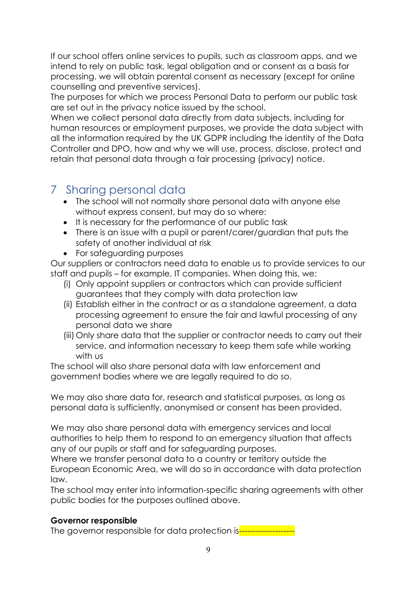If our school offers online services to pupils, such as classroom apps, and we intend to rely on public task, legal obligation and or consent as a basis for processing. we will obtain parental consent as necessary (except for online counselling and preventive services).

The purposes for which we process Personal Data to perform our public task are set out in the privacy notice issued by the school.

When we collect personal data directly from data subjects, including for human resources or employment purposes, we provide the data subject with all the information required by the UK GDPR including the identity of the Data Controller and DPO, how and why we will use, process, disclose, protect and retain that personal data through a fair processing (privacy) notice.

### 7 Sharing personal data

- The school will not normally share personal data with anyone else without express consent, but may do so where:
- It is necessary for the performance of our public task
- There is an issue with a pupil or parent/carer/guardian that puts the safety of another individual at risk
- For safeguarding purposes

Our suppliers or contractors need data to enable us to provide services to our staff and pupils – for example, IT companies. When doing this, we:

- (i) Only appoint suppliers or contractors which can provide sufficient guarantees that they comply with data protection law
- (ii) Establish either in the contract or as a standalone agreement, a data processing agreement to ensure the fair and lawful processing of any personal data we share
- (iii) Only share data that the supplier or contractor needs to carry out their service, and information necessary to keep them safe while working with us

The school will also share personal data with law enforcement and government bodies where we are legally required to do so.

We may also share data for, research and statistical purposes, as long as personal data is sufficiently, anonymised or consent has been provided.

We may also share personal data with emergency services and local authorities to help them to respond to an emergency situation that affects any of our pupils or staff and for safeguarding purposes.

Where we transfer personal data to a country or territory outside the European Economic Area, we will do so in accordance with data protection law.

The school may enter into information-specific sharing agreements with other public bodies for the purposes outlined above.

### **Governor responsible**

The governor responsible for data protection is-----------------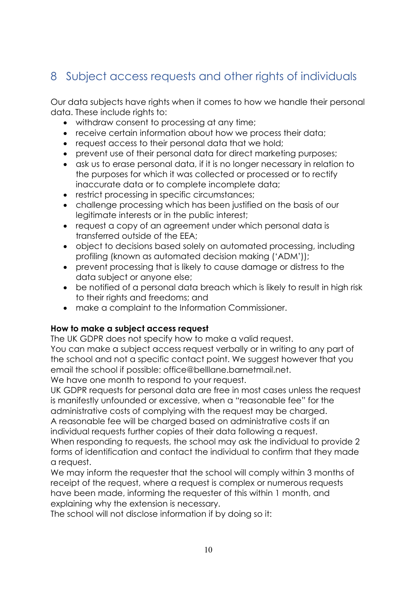# 8 Subject access requests and other rights of individuals

Our data subjects have rights when it comes to how we handle their personal data. These include rights to:

- withdraw consent to processing at any time;
- receive certain information about how we process their data;
- request access to their personal data that we hold;
- prevent use of their personal data for direct marketing purposes;
- ask us to erase personal data, if it is no longer necessary in relation to the purposes for which it was collected or processed or to rectify inaccurate data or to complete incomplete data;
- restrict processing in specific circumstances;
- challenge processing which has been justified on the basis of our legitimate interests or in the public interest;
- request a copy of an agreement under which personal data is transferred outside of the EEA;
- object to decisions based solely on automated processing, including profiling (known as automated decision making ('ADM'));
- prevent processing that is likely to cause damage or distress to the data subject or anyone else;
- be notified of a personal data breach which is likely to result in high risk to their rights and freedoms; and
- make a complaint to the Information Commissioner.

#### **How to make a subject access request**

The UK GDPR does not specify how to make a valid request.

You can make a subject access request verbally or in writing to any part of the school and not a specific contact point. We suggest however that you email the school if possible: office@belllane.barnetmail.net.

We have one month to respond to your request.

UK GDPR requests for personal data are free in most cases unless the request is manifestly unfounded or excessive, when a "reasonable fee" for the administrative costs of complying with the request may be charged.

A reasonable fee will be charged based on administrative costs if an individual requests further copies of their data following a request.

When responding to requests, the school may ask the individual to provide 2 forms of identification and contact the individual to confirm that they made a request.

We may inform the requester that the school will comply within 3 months of receipt of the request, where a request is complex or numerous requests have been made, informing the requester of this within 1 month, and explaining why the extension is necessary.

The school will not disclose information if by doing so it: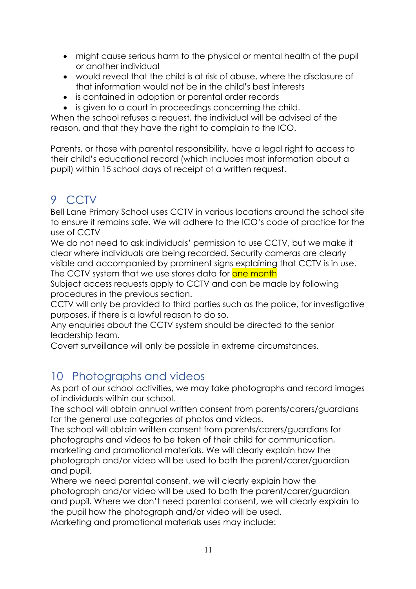- might cause serious harm to the physical or mental health of the pupil or another individual
- would reveal that the child is at risk of abuse, where the disclosure of that information would not be in the child's best interests
- is contained in adoption or parental order records
- is given to a court in proceedings concerning the child.

When the school refuses a request, the individual will be advised of the reason, and that they have the right to complain to the ICO.

Parents, or those with parental responsibility, have a legal right to access to their child's educational record (which includes most information about a pupil) within 15 school days of receipt of a written request.

# 9 CCTV

Bell Lane Primary School uses CCTV in various locations around the school site to ensure it remains safe. We will adhere to the ICO's code of practice for the use of CCTV

We do not need to ask individuals' permission to use CCTV, but we make it clear where individuals are being recorded. Security cameras are clearly visible and accompanied by prominent signs explaining that CCTV is in use. The CCTV system that we use stores data for one month

Subject access requests apply to CCTV and can be made by following procedures in the previous section.

CCTV will only be provided to third parties such as the police, for investigative purposes, if there is a lawful reason to do so.

Any enquiries about the CCTV system should be directed to the senior leadership team.

Covert surveillance will only be possible in extreme circumstances.

# 10 Photographs and videos

As part of our school activities, we may take photographs and record images of individuals within our school.

The school will obtain annual written consent from parents/carers/guardians for the general use categories of photos and videos.

The school will obtain written consent from parents/carers/guardians for photographs and videos to be taken of their child for communication, marketing and promotional materials. We will clearly explain how the photograph and/or video will be used to both the parent/carer/guardian and pupil.

Where we need parental consent, we will clearly explain how the photograph and/or video will be used to both the parent/carer/guardian and pupil. Where we don't need parental consent, we will clearly explain to the pupil how the photograph and/or video will be used. Marketing and promotional materials uses may include: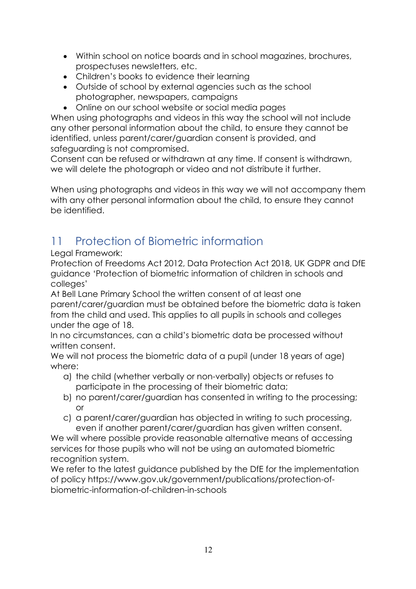- Within school on notice boards and in school magazines, brochures, prospectuses newsletters, etc.
- Children's books to evidence their learning
- Outside of school by external agencies such as the school photographer, newspapers, campaigns
- Online on our school website or social media pages

When using photographs and videos in this way the school will not include any other personal information about the child, to ensure they cannot be identified, unless parent/carer/guardian consent is provided, and safeguarding is not compromised.

Consent can be refused or withdrawn at any time. If consent is withdrawn, we will delete the photograph or video and not distribute it further.

When using photographs and videos in this way we will not accompany them with any other personal information about the child, to ensure they cannot be identified.

# 11 Protection of Biometric information

Legal Framework:

Protection of Freedoms Act 2012, Data Protection Act 2018, UK GDPR and DfE guidance 'Protection of biometric information of children in schools and colleges'

At Bell Lane Primary School the written consent of at least one parent/carer/guardian must be obtained before the biometric data is taken from the child and used. This applies to all pupils in schools and colleges under the age of 18.

In no circumstances, can a child's biometric data be processed without written consent.

We will not process the biometric data of a pupil (under 18 years of age) where:

- a) the child (whether verbally or non-verbally) objects or refuses to participate in the processing of their biometric data;
- b) no parent/carer/guardian has consented in writing to the processing; or
- c) a parent/carer/guardian has objected in writing to such processing, even if another parent/carer/guardian has given written consent.

We will where possible provide reasonable alternative means of accessing services for those pupils who will not be using an automated biometric recognition system.

We refer to the latest guidance published by the DfE for the implementation of policy https://www.gov.uk/government/publications/protection-ofbiometric-information-of-children-in-schools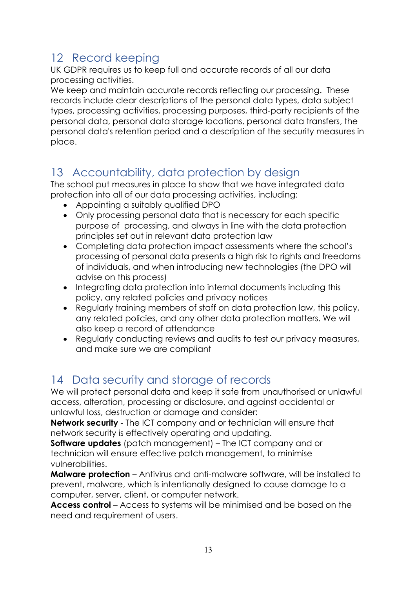# 12 Record keeping

UK GDPR requires us to keep full and accurate records of all our data processing activities.

We keep and maintain accurate records reflecting our processing. These records include clear descriptions of the personal data types, data subject types, processing activities, processing purposes, third-party recipients of the personal data, personal data storage locations, personal data transfers, the personal data's retention period and a description of the security measures in place.

# 13 Accountability, data protection by design

The school put measures in place to show that we have integrated data protection into all of our data processing activities, including:

- Appointing a suitably qualified DPO
- Only processing personal data that is necessary for each specific purpose of processing, and always in line with the data protection principles set out in relevant data protection law
- Completing data protection impact assessments where the school's processing of personal data presents a high risk to rights and freedoms of individuals, and when introducing new technologies (the DPO will advise on this process)
- Integrating data protection into internal documents including this policy, any related policies and privacy notices
- Regularly training members of staff on data protection law, this policy, any related policies, and any other data protection matters. We will also keep a record of attendance
- Regularly conducting reviews and audits to test our privacy measures, and make sure we are compliant

# 14 Data security and storage of records

We will protect personal data and keep it safe from unauthorised or unlawful access, alteration, processing or disclosure, and against accidental or unlawful loss, destruction or damage and consider:

**Network security** - The ICT company and or technician will ensure that network security is effectively operating and updating.

**Software updates** (patch management) – The ICT company and or technician will ensure effective patch management, to minimise vulnerabilities.

**Malware protection** – Antivirus and anti-malware software, will be installed to prevent, malware, which is intentionally designed to cause damage to a computer, server, client, or computer network.

**Access control** – Access to systems will be minimised and be based on the need and requirement of users.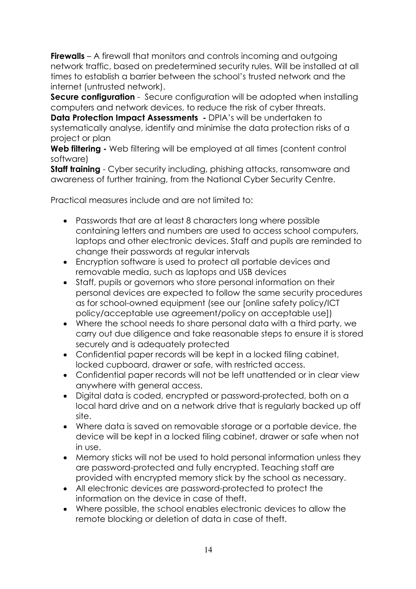**Firewalls** – A firewall that monitors and controls incoming and outgoing network traffic, based on predetermined security rules. Will be installed at all times to establish a barrier between the school's trusted network and the internet (untrusted network).

**Secure configuration** - Secure configuration will be adopted when installing computers and network devices, to reduce the risk of cyber threats.

**Data Protection Impact Assessments -** DPIA's will be undertaken to systematically analyse, identify and minimise the data protection risks of a project or plan

**Web filtering -** Web filtering will be employed at all times (content control software)

**Staff training** - Cyber security including, phishing attacks, ransomware and awareness of further training, from the National Cyber Security Centre.

Practical measures include and are not limited to:

- Passwords that are at least 8 characters long where possible containing letters and numbers are used to access school computers, laptops and other electronic devices. Staff and pupils are reminded to change their passwords at regular intervals
- Encryption software is used to protect all portable devices and removable media, such as laptops and USB devices
- Staff, pupils or governors who store personal information on their personal devices are expected to follow the same security procedures as for school-owned equipment (see our [online safety policy/ICT policy/acceptable use agreement/policy on acceptable use])
- Where the school needs to share personal data with a third party, we carry out due diligence and take reasonable steps to ensure it is stored securely and is adequately protected
- Confidential paper records will be kept in a locked filing cabinet, locked cupboard, drawer or safe, with restricted access.
- Confidential paper records will not be left unattended or in clear view anywhere with general access.
- Digital data is coded, encrypted or password-protected, both on a local hard drive and on a network drive that is regularly backed up off site.
- Where data is saved on removable storage or a portable device, the device will be kept in a locked filing cabinet, drawer or safe when not in use.
- Memory sticks will not be used to hold personal information unless they are password-protected and fully encrypted. Teaching staff are provided with encrypted memory stick by the school as necessary.
- All electronic devices are password-protected to protect the information on the device in case of theft.
- Where possible, the school enables electronic devices to allow the remote blocking or deletion of data in case of theft.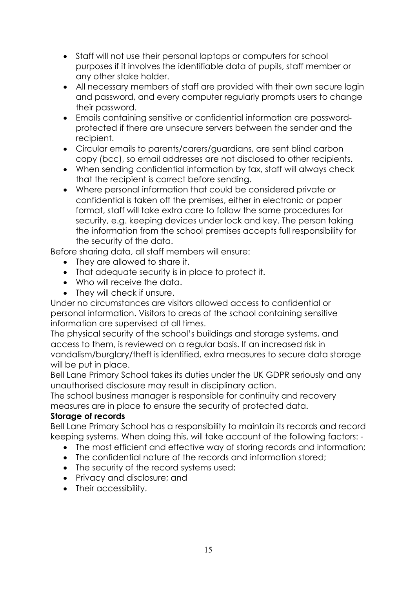- Staff will not use their personal laptops or computers for school purposes if it involves the identifiable data of pupils, staff member or any other stake holder.
- All necessary members of staff are provided with their own secure login and password, and every computer regularly prompts users to change their password.
- Emails containing sensitive or confidential information are passwordprotected if there are unsecure servers between the sender and the recipient.
- Circular emails to parents/carers/guardians, are sent blind carbon copy (bcc), so email addresses are not disclosed to other recipients.
- When sending confidential information by fax, staff will always check that the recipient is correct before sending.
- Where personal information that could be considered private or confidential is taken off the premises, either in electronic or paper format, staff will take extra care to follow the same procedures for security, e.g. keeping devices under lock and key. The person taking the information from the school premises accepts full responsibility for the security of the data.

Before sharing data, all staff members will ensure:

- They are allowed to share it.
- That adequate security is in place to protect it.
- Who will receive the data.
- They will check if unsure.

Under no circumstances are visitors allowed access to confidential or personal information. Visitors to areas of the school containing sensitive information are supervised at all times.

The physical security of the school's buildings and storage systems, and access to them, is reviewed on a regular basis. If an increased risk in vandalism/burglary/theft is identified, extra measures to secure data storage will be put in place.

Bell Lane Primary School takes its duties under the UK GDPR seriously and any unauthorised disclosure may result in disciplinary action.

The school business manager is responsible for continuity and recovery measures are in place to ensure the security of protected data.

### **Storage of records**

Bell Lane Primary School has a responsibility to maintain its records and record keeping systems. When doing this, will take account of the following factors: -

- The most efficient and effective way of storing records and information;
- The confidential nature of the records and information stored;
- The security of the record systems used;
- Privacy and disclosure; and
- Their accessibility.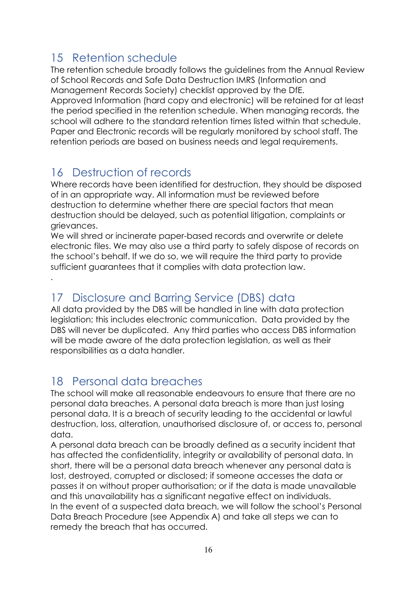# 15 Retention schedule

The retention schedule broadly follows the guidelines from the Annual Review of School Records and Safe Data Destruction IMRS (Information and Management Records Society) checklist approved by the DfE. Approved Information (hard copy and electronic) will be retained for at least the period specified in the retention schedule. When managing records, the school will adhere to the standard retention times listed within that schedule. Paper and Electronic records will be regularly monitored by school staff. The retention periods are based on business needs and legal requirements.

# 16 Destruction of records

.

Where records have been identified for destruction, they should be disposed of in an appropriate way. All information must be reviewed before destruction to determine whether there are special factors that mean destruction should be delayed, such as potential litigation, complaints or grievances.

We will shred or incinerate paper-based records and overwrite or delete electronic files. We may also use a third party to safely dispose of records on the school's behalf. If we do so, we will require the third party to provide sufficient augrantees that it complies with data protection law.

# 17 Disclosure and Barring Service (DBS) data

All data provided by the DBS will be handled in line with data protection legislation; this includes electronic communication. Data provided by the DBS will never be duplicated. Any third parties who access DBS information will be made aware of the data protection legislation, as well as their responsibilities as a data handler.

### 18 Personal data breaches

The school will make all reasonable endeavours to ensure that there are no personal data breaches. A personal data breach is more than just losing personal data. It is a breach of security leading to the accidental or lawful destruction, loss, alteration, unauthorised disclosure of, or access to, personal data.

A personal data breach can be broadly defined as a security incident that has affected the confidentiality, integrity or availability of personal data. In short, there will be a personal data breach whenever any personal data is lost, destroyed, corrupted or disclosed; if someone accesses the data or passes it on without proper authorisation; or if the data is made unavailable and this unavailability has a significant negative effect on individuals. In the event of a suspected data breach, we will follow the school's Personal Data Breach Procedure (see Appendix A) and take all steps we can to remedy the breach that has occurred.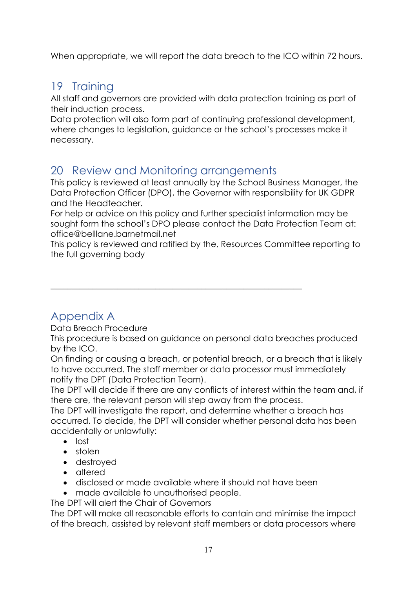When appropriate, we will report the data breach to the ICO within 72 hours.

# 19 Training

All staff and governors are provided with data protection training as part of their induction process.

Data protection will also form part of continuing professional development, where changes to legislation, guidance or the school's processes make it necessary.

# 20 Review and Monitoring arrangements

\_\_\_\_\_\_\_\_\_\_\_\_\_\_\_\_\_\_\_\_\_\_\_\_\_\_\_\_\_\_\_\_\_\_\_\_\_\_\_\_\_\_\_\_\_\_\_\_\_\_\_\_\_\_\_\_\_\_\_\_

This policy is reviewed at least annually by the School Business Manager, the Data Protection Officer (DPO), the Governor with responsibility for UK GDPR and the Headteacher.

For help or advice on this policy and further specialist information may be sought form the school's DPO please contact the Data Protection Team at: office@belllane.barnetmail.net

This policy is reviewed and ratified by the, Resources Committee reporting to the full governing body

# Appendix A

Data Breach Procedure

This procedure is based on guidance on personal data breaches produced by the ICO.

On finding or causing a breach, or potential breach, or a breach that is likely to have occurred. The staff member or data processor must immediately notify the DPT (Data Protection Team).

The DPT will decide if there are any conflicts of interest within the team and, if there are, the relevant person will step away from the process.

The DPT will investigate the report, and determine whether a breach has occurred. To decide, the DPT will consider whether personal data has been accidentally or unlawfully:

- lost
- stolen
- destroyed
- altered
- disclosed or made available where it should not have been
- made available to unauthorised people.

The DPT will alert the Chair of Governors

The DPT will make all reasonable efforts to contain and minimise the impact of the breach, assisted by relevant staff members or data processors where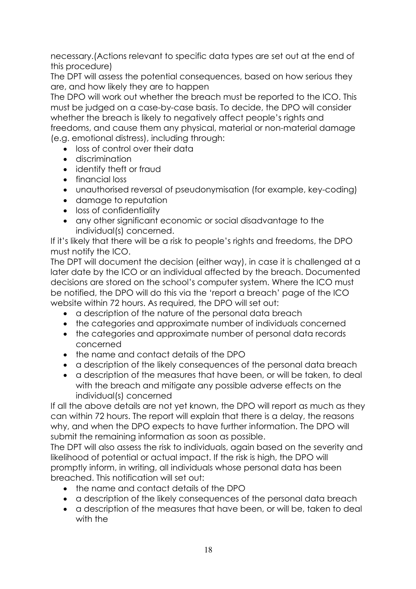necessary.(Actions relevant to specific data types are set out at the end of this procedure)

The DPT will assess the potential consequences, based on how serious they are, and how likely they are to happen

The DPO will work out whether the breach must be reported to the ICO. This must be judged on a case-by-case basis. To decide, the DPO will consider whether the breach is likely to negatively affect people's rights and freedoms, and cause them any physical, material or non-material damage (e.g. emotional distress), including through:

- loss of control over their data
- discrimination
- identify theft or fraud
- financial loss
- unauthorised reversal of pseudonymisation (for example, key-coding)
- damage to reputation
- loss of confidentiality
- any other significant economic or social disadvantage to the individual(s) concerned.

If it's likely that there will be a risk to people's rights and freedoms, the DPO must notify the ICO.

The DPT will document the decision (either way), in case it is challenged at a later date by the ICO or an individual affected by the breach. Documented decisions are stored on the school's computer system. Where the ICO must be notified, the DPO will do this via the 'report a breach' page of the ICO website within 72 hours. As required, the DPO will set out:

- a description of the nature of the personal data breach
- the categories and approximate number of individuals concerned
- the categories and approximate number of personal data records concerned
- the name and contact details of the DPO
- a description of the likely consequences of the personal data breach
- a description of the measures that have been, or will be taken, to deal with the breach and mitigate any possible adverse effects on the individual(s) concerned

If all the above details are not yet known, the DPO will report as much as they can within 72 hours. The report will explain that there is a delay, the reasons why, and when the DPO expects to have further information. The DPO will submit the remaining information as soon as possible.

The DPT will also assess the risk to individuals, again based on the severity and likelihood of potential or actual impact. If the risk is high, the DPO will promptly inform, in writing, all individuals whose personal data has been breached. This notification will set out:

- the name and contact details of the DPO
- a description of the likely consequences of the personal data breach
- a description of the measures that have been, or will be, taken to deal with the